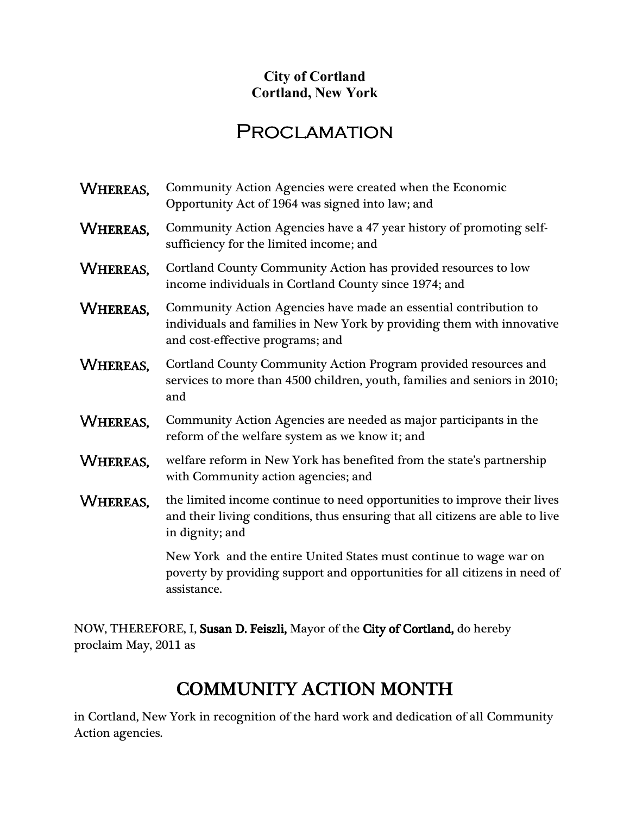## **City of Cortland Cortland, New York**

## **PROCLAMATION**

| WHEREAS,        | Community Action Agencies were created when the Economic<br>Opportunity Act of 1964 was signed into law; and                                                                   |
|-----------------|--------------------------------------------------------------------------------------------------------------------------------------------------------------------------------|
| WHEREAS,        | Community Action Agencies have a 47 year history of promoting self-<br>sufficiency for the limited income; and                                                                 |
| WHEREAS,        | Cortland County Community Action has provided resources to low<br>income individuals in Cortland County since 1974; and                                                        |
| <b>WHEREAS,</b> | Community Action Agencies have made an essential contribution to<br>individuals and families in New York by providing them with innovative<br>and cost-effective programs; and |
| WHEREAS,        | Cortland County Community Action Program provided resources and<br>services to more than 4500 children, youth, families and seniors in 2010;<br>and                            |
| WHEREAS,        | Community Action Agencies are needed as major participants in the<br>reform of the welfare system as we know it; and                                                           |
| <b>WHEREAS,</b> | welfare reform in New York has benefited from the state's partnership<br>with Community action agencies; and                                                                   |
| WHEREAS,        | the limited income continue to need opportunities to improve their lives<br>and their living conditions, thus ensuring that all citizens are able to live<br>in dignity; and   |
|                 | New York and the entire United States must continue to wage war on<br>poverty by providing support and opportunities for all citizens in need of<br>assistance.                |

NOW, THEREFORE, I, Susan D. Feiszli, Mayor of the City of Cortland, do hereby proclaim May, 2011 as

## $\overline{a}$ COMMUNITY ACTION MONTH COMMUNITY ACTION

 in Cortland, New York in recognition of the hard work and dedication of all Community Action agencies.